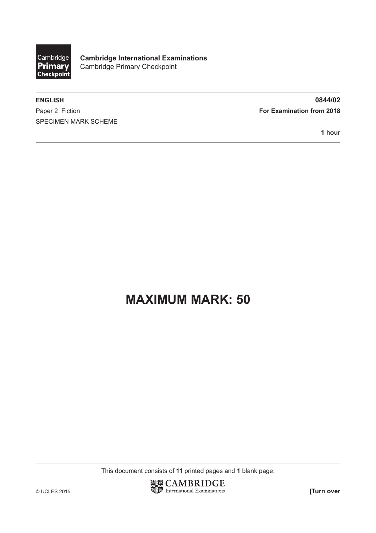

**Cambridge International Examinations** Cambridge Primary Checkpoint

Paper 2 Fiction **For Examination from 2018** SPECIMEN MARK SCHEME

**ENGLISH 0844/02**

**1 hour**

## **MAXIMUM MARK: 50**

This document consists of **11** printed pages and **1** blank page.

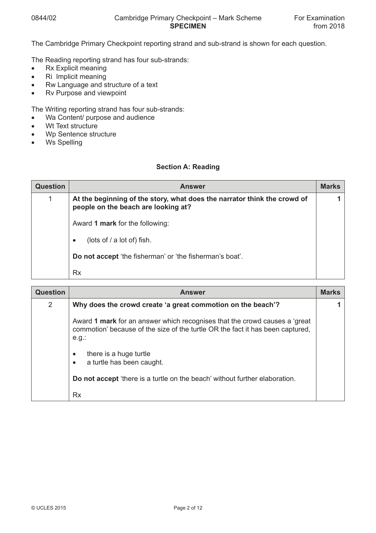The Cambridge Primary Checkpoint reporting strand and sub-strand is shown for each question.

The Reading reporting strand has four sub-strands:

- Rx Explicit meaning
- Ri Implicit meaning
- Rw Language and structure of a text
- Rv Purpose and viewpoint

The Writing reporting strand has four sub-strands:

- Wa Content/ purpose and audience
- Wt Text structure
- Wp Sentence structure
- Ws Spelling

## **Section A: Reading**

| <b>Question</b> | <b>Answer</b>                                                                                                   | <b>Marks</b> |
|-----------------|-----------------------------------------------------------------------------------------------------------------|--------------|
|                 | At the beginning of the story, what does the narrator think the crowd of<br>people on the beach are looking at? |              |
|                 | Award 1 mark for the following:                                                                                 |              |
|                 | (lots of / a lot of) fish.<br>$\bullet$                                                                         |              |
|                 | Do not accept 'the fisherman' or 'the fisherman's boat'.                                                        |              |
|                 | Rx                                                                                                              |              |

| <b>Question</b> | <b>Answer</b>                                                                                                                                                            | <b>Marks</b> |
|-----------------|--------------------------------------------------------------------------------------------------------------------------------------------------------------------------|--------------|
| $\overline{2}$  | Why does the crowd create 'a great commotion on the beach'?                                                                                                              |              |
|                 | Award 1 mark for an answer which recognises that the crowd causes a 'great<br>commotion' because of the size of the turtle OR the fact it has been captured,<br>$e.g.$ : |              |
|                 | there is a huge turtle<br>a turtle has been caught.<br>$\bullet$                                                                                                         |              |
|                 | Do not accept 'there is a turtle on the beach' without further elaboration.                                                                                              |              |
|                 | <b>Rx</b>                                                                                                                                                                |              |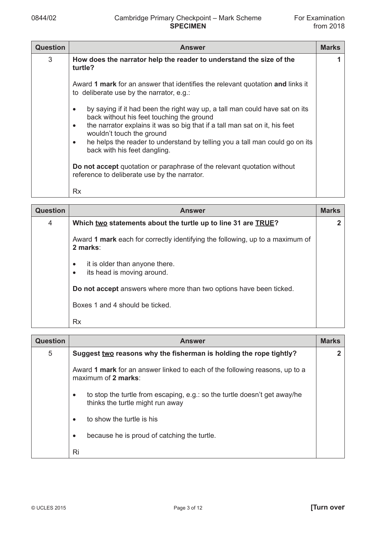| <b>Question</b> | <b>Answer</b>                                                                                                                                                                                                                                                                                                                                                                             | <b>Marks</b> |
|-----------------|-------------------------------------------------------------------------------------------------------------------------------------------------------------------------------------------------------------------------------------------------------------------------------------------------------------------------------------------------------------------------------------------|--------------|
| 3               | How does the narrator help the reader to understand the size of the<br>turtle?                                                                                                                                                                                                                                                                                                            |              |
|                 | Award 1 mark for an answer that identifies the relevant quotation and links it<br>to deliberate use by the narrator, e.g.:                                                                                                                                                                                                                                                                |              |
|                 | by saying if it had been the right way up, a tall man could have sat on its<br>$\bullet$<br>back without his feet touching the ground<br>the narrator explains it was so big that if a tall man sat on it, his feet<br>$\bullet$<br>wouldn't touch the ground<br>he helps the reader to understand by telling you a tall man could go on its<br>$\bullet$<br>back with his feet dangling. |              |
|                 | Do not accept quotation or paraphrase of the relevant quotation without<br>reference to deliberate use by the narrator.                                                                                                                                                                                                                                                                   |              |
|                 | <b>Rx</b>                                                                                                                                                                                                                                                                                                                                                                                 |              |

| <b>Question</b> | <b>Answer</b>                                                                             | <b>Marks</b> |
|-----------------|-------------------------------------------------------------------------------------------|--------------|
| 4               | Which two statements about the turtle up to line 31 are TRUE?                             |              |
|                 | Award 1 mark each for correctly identifying the following, up to a maximum of<br>2 marks: |              |
|                 | it is older than anyone there.<br>$\bullet$<br>its head is moving around.<br>٠            |              |
|                 | Do not accept answers where more than two options have been ticked.                       |              |
|                 | Boxes 1 and 4 should be ticked.                                                           |              |
|                 | Rx                                                                                        |              |

| <b>Question</b> | <b>Answer</b>                                                                                                 | <b>Marks</b> |
|-----------------|---------------------------------------------------------------------------------------------------------------|--------------|
| 5               | Suggest two reasons why the fisherman is holding the rope tightly?                                            |              |
|                 | Award 1 mark for an answer linked to each of the following reasons, up to a<br>maximum of 2 marks:            |              |
|                 | to stop the turtle from escaping, e.g.: so the turtle doesn't get away/he<br>thinks the turtle might run away |              |
|                 | to show the turtle is his                                                                                     |              |
|                 | because he is proud of catching the turtle.<br>$\bullet$                                                      |              |
|                 | Ri                                                                                                            |              |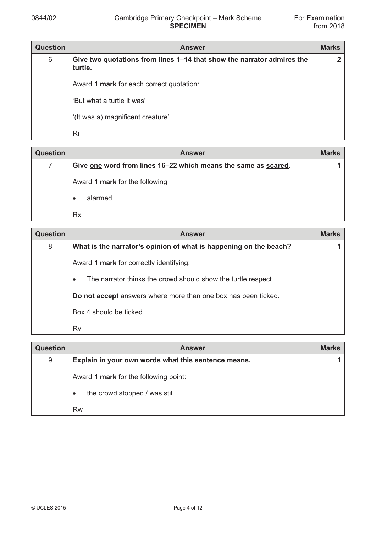| <b>Question</b> | <b>Answer</b>                                                                     | <b>Marks</b> |
|-----------------|-----------------------------------------------------------------------------------|--------------|
| 6               | Give two quotations from lines 1–14 that show the narrator admires the<br>turtle. | 2            |
|                 | Award 1 mark for each correct quotation:                                          |              |
|                 | 'But what a turtle it was'                                                        |              |
|                 | '(It was a) magnificent creature'                                                 |              |
|                 | Ri                                                                                |              |

| <b>Question</b> | <b>Answer</b>                                                  | <b>Marks</b> |
|-----------------|----------------------------------------------------------------|--------------|
|                 | Give one word from lines 16-22 which means the same as scared. |              |
|                 | Award 1 mark for the following:                                |              |
|                 | alarmed.                                                       |              |
|                 | Rx                                                             |              |

| <b>Question</b> | <b>Answer</b>                                                              | <b>Marks</b> |
|-----------------|----------------------------------------------------------------------------|--------------|
| 8               | What is the narrator's opinion of what is happening on the beach?          |              |
|                 | Award 1 mark for correctly identifying:                                    |              |
|                 | The narrator thinks the crowd should show the turtle respect.<br>$\bullet$ |              |
|                 | Do not accept answers where more than one box has been ticked.             |              |
|                 | Box 4 should be ficked.                                                    |              |
|                 | Rv                                                                         |              |

| <b>Question</b> | <b>Answer</b>                                       | <b>Marks</b> |
|-----------------|-----------------------------------------------------|--------------|
| 9               | Explain in your own words what this sentence means. |              |
|                 | Award 1 mark for the following point:               |              |
|                 | the crowd stopped / was still.                      |              |
|                 | <b>Rw</b>                                           |              |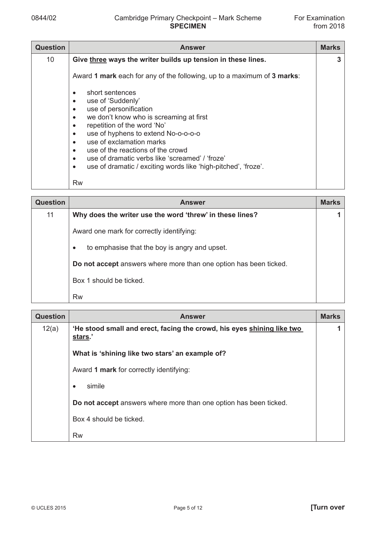| <b>Question</b> | <b>Answer</b>                                                                                                                                                                                                                                                                                                                                                                                                                                                      | <b>Marks</b> |
|-----------------|--------------------------------------------------------------------------------------------------------------------------------------------------------------------------------------------------------------------------------------------------------------------------------------------------------------------------------------------------------------------------------------------------------------------------------------------------------------------|--------------|
| 10              | Give three ways the writer builds up tension in these lines.                                                                                                                                                                                                                                                                                                                                                                                                       | 3            |
|                 | Award 1 mark each for any of the following, up to a maximum of 3 marks:                                                                                                                                                                                                                                                                                                                                                                                            |              |
|                 | short sentences<br>$\bullet$<br>use of 'Suddenly'<br>٠<br>use of personification<br>$\bullet$<br>we don't know who is screaming at first<br>$\bullet$<br>repetition of the word 'No'<br>$\bullet$<br>use of hyphens to extend No-o-o-o-o<br>$\bullet$<br>use of exclamation marks<br>٠<br>use of the reactions of the crowd<br>٠<br>use of dramatic verbs like 'screamed' / 'froze'<br>use of dramatic / exciting words like 'high-pitched', 'froze'.<br>$\bullet$ |              |
|                 | Rw                                                                                                                                                                                                                                                                                                                                                                                                                                                                 |              |

| <b>Question</b> | <b>Answer</b>                                                     | <b>Marks</b> |
|-----------------|-------------------------------------------------------------------|--------------|
| 11              | Why does the writer use the word 'threw' in these lines?          |              |
|                 | Award one mark for correctly identifying:                         |              |
|                 | to emphasise that the boy is angry and upset.<br>$\bullet$        |              |
|                 | Do not accept answers where more than one option has been ticked. |              |
|                 | Box 1 should be ficked.                                           |              |
|                 | <b>Rw</b>                                                         |              |

| <b>Question</b> | <b>Answer</b>                                                                     | <b>Marks</b> |
|-----------------|-----------------------------------------------------------------------------------|--------------|
| 12(a)           | 'He stood small and erect, facing the crowd, his eyes shining like two<br>stars.' |              |
|                 | What is 'shining like two stars' an example of?                                   |              |
|                 | Award 1 mark for correctly identifying:                                           |              |
|                 | simile<br>$\bullet$                                                               |              |
|                 | Do not accept answers where more than one option has been ticked.                 |              |
|                 | Box 4 should be ticked.                                                           |              |
|                 | Rw                                                                                |              |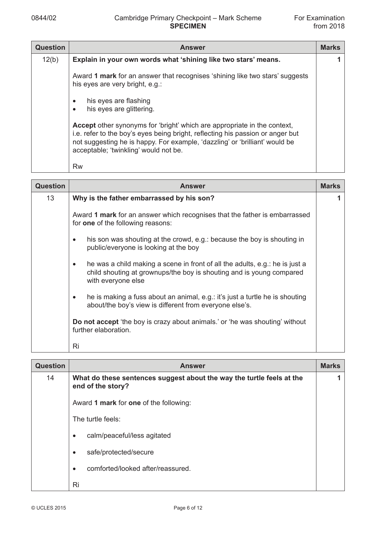| <b>Question</b> | <b>Answer</b>                                                                                                                                                                                                                                                                      | <b>Marks</b> |
|-----------------|------------------------------------------------------------------------------------------------------------------------------------------------------------------------------------------------------------------------------------------------------------------------------------|--------------|
| 12(b)           | Explain in your own words what 'shining like two stars' means.                                                                                                                                                                                                                     |              |
|                 | Award 1 mark for an answer that recognises 'shining like two stars' suggests<br>his eyes are very bright, e.g.:                                                                                                                                                                    |              |
|                 | his eyes are flashing<br>$\bullet$<br>his eyes are glittering.<br>$\bullet$                                                                                                                                                                                                        |              |
|                 | Accept other synonyms for 'bright' which are appropriate in the context,<br>i.e. refer to the boy's eyes being bright, reflecting his passion or anger but<br>not suggesting he is happy. For example, 'dazzling' or 'brilliant' would be<br>acceptable; 'twinkling' would not be. |              |
|                 | <b>Rw</b>                                                                                                                                                                                                                                                                          |              |

| <b>Question</b> | <b>Answer</b>                                                                                                                                                                           | <b>Marks</b> |
|-----------------|-----------------------------------------------------------------------------------------------------------------------------------------------------------------------------------------|--------------|
| 13              | Why is the father embarrassed by his son?                                                                                                                                               |              |
|                 | Award 1 mark for an answer which recognises that the father is embarrassed<br>for <b>one</b> of the following reasons:                                                                  |              |
|                 | his son was shouting at the crowd, e.g.: because the boy is shouting in<br>٠<br>public/everyone is looking at the boy                                                                   |              |
|                 | he was a child making a scene in front of all the adults, e.g.: he is just a<br>$\bullet$<br>child shouting at grownups/the boy is shouting and is young compared<br>with everyone else |              |
|                 | he is making a fuss about an animal, e.g.: it's just a turtle he is shouting<br>$\bullet$<br>about/the boy's view is different from everyone else's.                                    |              |
|                 | <b>Do not accept</b> 'the boy is crazy about animals' or 'he was shouting' without<br>further elaboration.                                                                              |              |
|                 | Ri                                                                                                                                                                                      |              |

| <b>Question</b> | <b>Answer</b>                                                                              | <b>Marks</b> |
|-----------------|--------------------------------------------------------------------------------------------|--------------|
| 14              | What do these sentences suggest about the way the turtle feels at the<br>end of the story? |              |
|                 | Award 1 mark for one of the following:                                                     |              |
|                 | The turtle feels:                                                                          |              |
|                 | calm/peaceful/less agitated<br>٠                                                           |              |
|                 | safe/protected/secure<br>$\bullet$                                                         |              |
|                 | comforted/looked after/reassured.<br>$\bullet$                                             |              |
|                 | Ri                                                                                         |              |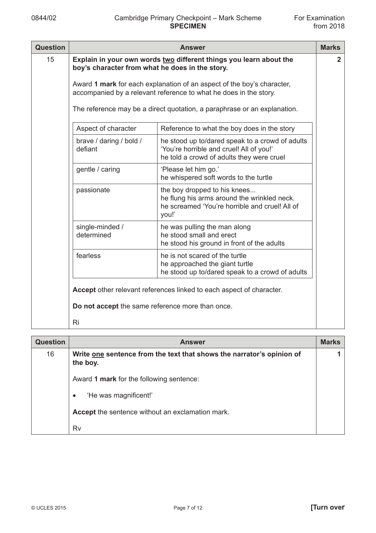| <b>Question</b> | <b>Answer</b>                                                                                                                               |                                                                                                                                          | <b>Marks</b> |
|-----------------|---------------------------------------------------------------------------------------------------------------------------------------------|------------------------------------------------------------------------------------------------------------------------------------------|--------------|
| 15              | Explain in your own words two different things you learn about the<br>boy's character from what he does in the story.                       |                                                                                                                                          |              |
|                 | Award 1 mark for each explanation of an aspect of the boy's character,<br>accompanied by a relevant reference to what he does in the story. |                                                                                                                                          |              |
|                 | The reference may be a direct quotation, a paraphrase or an explanation.                                                                    |                                                                                                                                          |              |
|                 | Aspect of character                                                                                                                         | Reference to what the boy does in the story                                                                                              |              |
|                 | brave / daring / bold /<br>defiant                                                                                                          | he stood up to/dared speak to a crowd of adults<br>'You're horrible and cruel! All of you!'<br>he told a crowd of adults they were cruel |              |
|                 | gentle / caring                                                                                                                             | 'Please let him go.'<br>he whispered soft words to the turtle                                                                            |              |
|                 | passionate                                                                                                                                  | the boy dropped to his knees<br>he flung his arms around the wrinkled neck.<br>he screamed 'You're horrible and cruel! All of<br>you!'   |              |
|                 | single-minded /<br>determined                                                                                                               | he was pulling the man along<br>he stood small and erect<br>he stood his ground in front of the adults                                   |              |
|                 | fearless                                                                                                                                    | he is not scared of the turtle<br>he approached the giant turtle<br>he stood up to/dared speak to a crowd of adults                      |              |
|                 | Accept other relevant references linked to each aspect of character.                                                                        |                                                                                                                                          |              |
|                 | Do not accept the same reference more than once.                                                                                            |                                                                                                                                          |              |
|                 | Ri                                                                                                                                          |                                                                                                                                          |              |

| <b>Question</b> | <b>Answer</b>                                                                     | <b>Marks</b> |
|-----------------|-----------------------------------------------------------------------------------|--------------|
| 16              | Write one sentence from the text that shows the narrator's opinion of<br>the boy. |              |
|                 | Award 1 mark for the following sentence:                                          |              |
|                 | 'He was magnificent!'<br>$\bullet$                                                |              |
|                 | <b>Accept</b> the sentence without an exclamation mark.                           |              |
|                 | Rv                                                                                |              |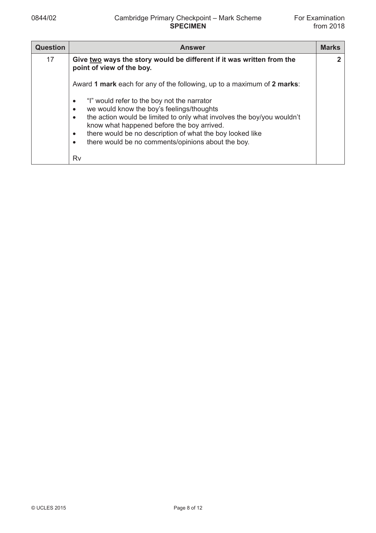| <b>Question</b> | <b>Answer</b>                                                                                                                                                                                                                                                                                                                                                                        | <b>Marks</b> |
|-----------------|--------------------------------------------------------------------------------------------------------------------------------------------------------------------------------------------------------------------------------------------------------------------------------------------------------------------------------------------------------------------------------------|--------------|
| 17              | Give two ways the story would be different if it was written from the<br>point of view of the boy.                                                                                                                                                                                                                                                                                   |              |
|                 | Award 1 mark each for any of the following, up to a maximum of 2 marks:                                                                                                                                                                                                                                                                                                              |              |
|                 | "I" would refer to the boy not the narrator<br>٠<br>we would know the boy's feelings/thoughts<br>$\bullet$<br>the action would be limited to only what involves the boy/you wouldn't<br>$\bullet$<br>know what happened before the boy arrived.<br>there would be no description of what the boy looked like<br>٠<br>there would be no comments/opinions about the boy.<br>$\bullet$ |              |
|                 | Rv                                                                                                                                                                                                                                                                                                                                                                                   |              |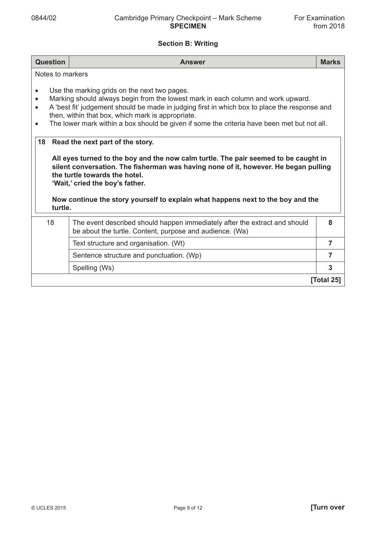## **Section B: Writing**

| <b>Question</b>                                                                                                                                                                                                                                                                                                                                                                                                              | <b>Answer</b>                                                                                                                                                                                                                                                                                                                     | <b>Marks</b>   |
|------------------------------------------------------------------------------------------------------------------------------------------------------------------------------------------------------------------------------------------------------------------------------------------------------------------------------------------------------------------------------------------------------------------------------|-----------------------------------------------------------------------------------------------------------------------------------------------------------------------------------------------------------------------------------------------------------------------------------------------------------------------------------|----------------|
| Notes to markers                                                                                                                                                                                                                                                                                                                                                                                                             |                                                                                                                                                                                                                                                                                                                                   |                |
| Use the marking grids on the next two pages.<br>$\bullet$<br>Marking should always begin from the lowest mark in each column and work upward.<br>$\bullet$<br>A 'best fit' judgement should be made in judging first in which box to place the response and<br>$\bullet$<br>then, within that box, which mark is appropriate.<br>The lower mark within a box should be given if some the criteria have been met but not all. |                                                                                                                                                                                                                                                                                                                                   |                |
| 18                                                                                                                                                                                                                                                                                                                                                                                                                           | Read the next part of the story.                                                                                                                                                                                                                                                                                                  |                |
| turtle.                                                                                                                                                                                                                                                                                                                                                                                                                      | All eyes turned to the boy and the now calm turtle. The pair seemed to be caught in<br>silent conversation. The fisherman was having none of it, however. He began pulling<br>the turtle towards the hotel.<br>'Wait,' cried the boy's father.<br>Now continue the story yourself to explain what happens next to the boy and the |                |
| 18                                                                                                                                                                                                                                                                                                                                                                                                                           | The event described should happen immediately after the extract and should<br>be about the turtle. Content, purpose and audience. (Wa)                                                                                                                                                                                            | 8              |
|                                                                                                                                                                                                                                                                                                                                                                                                                              | Text structure and organisation. (Wt)                                                                                                                                                                                                                                                                                             | $\overline{7}$ |
|                                                                                                                                                                                                                                                                                                                                                                                                                              | Sentence structure and punctuation. (Wp)                                                                                                                                                                                                                                                                                          | 7              |
|                                                                                                                                                                                                                                                                                                                                                                                                                              | Spelling (Ws)                                                                                                                                                                                                                                                                                                                     | 3              |
| [Total 25]                                                                                                                                                                                                                                                                                                                                                                                                                   |                                                                                                                                                                                                                                                                                                                                   |                |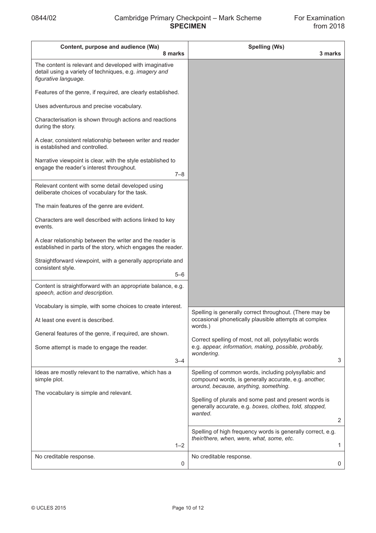| Content, purpose and audience (Wa)<br>8 marks                                                                                            | <b>Spelling (Ws)</b><br>3 marks                                                                                                                       |              |
|------------------------------------------------------------------------------------------------------------------------------------------|-------------------------------------------------------------------------------------------------------------------------------------------------------|--------------|
| The content is relevant and developed with imaginative<br>detail using a variety of techniques, e.g. imagery and<br>figurative language. |                                                                                                                                                       |              |
| Features of the genre, if required, are clearly established.                                                                             |                                                                                                                                                       |              |
| Uses adventurous and precise vocabulary.                                                                                                 |                                                                                                                                                       |              |
| Characterisation is shown through actions and reactions<br>during the story.                                                             |                                                                                                                                                       |              |
| A clear, consistent relationship between writer and reader<br>is established and controlled.                                             |                                                                                                                                                       |              |
| Narrative viewpoint is clear, with the style established to<br>engage the reader's interest throughout.<br>$7 - 8$                       |                                                                                                                                                       |              |
| Relevant content with some detail developed using<br>deliberate choices of vocabulary for the task.                                      |                                                                                                                                                       |              |
| The main features of the genre are evident.                                                                                              |                                                                                                                                                       |              |
| Characters are well described with actions linked to key<br>events.                                                                      |                                                                                                                                                       |              |
| A clear relationship between the writer and the reader is<br>established in parts of the story, which engages the reader.                |                                                                                                                                                       |              |
| Straightforward viewpoint, with a generally appropriate and<br>consistent style.<br>$5 - 6$                                              |                                                                                                                                                       |              |
| Content is straightforward with an appropriate balance, e.g.<br>speech, action and description.                                          |                                                                                                                                                       |              |
| Vocabulary is simple, with some choices to create interest.                                                                              | Spelling is generally correct throughout. (There may be                                                                                               |              |
| At least one event is described.                                                                                                         | occasional phonetically plausible attempts at complex<br>words.)                                                                                      |              |
| General features of the genre, if required, are shown.                                                                                   | Correct spelling of most, not all, polysyllabic words                                                                                                 |              |
| Some attempt is made to engage the reader.                                                                                               | e.g. appear, information, making, possible, probably,<br>wondering.                                                                                   |              |
| $3 - 4$                                                                                                                                  |                                                                                                                                                       | 3            |
| Ideas are mostly relevant to the narrative, which has a<br>simple plot.                                                                  | Spelling of common words, including polysyllabic and<br>compound words, is generally accurate, e.g. another,<br>around, because, anything, something. |              |
| The vocabulary is simple and relevant.                                                                                                   | Spelling of plurals and some past and present words is<br>generally accurate, e.g. boxes, clothes, told, stopped,<br>wanted.                          |              |
|                                                                                                                                          |                                                                                                                                                       | 2            |
| $1 - 2$                                                                                                                                  | Spelling of high frequency words is generally correct, e.g.<br>their/there, when, were, what, some, etc.                                              | $\mathbf{1}$ |
| No creditable response.<br>$\mathbf 0$                                                                                                   | No creditable response.                                                                                                                               | 0            |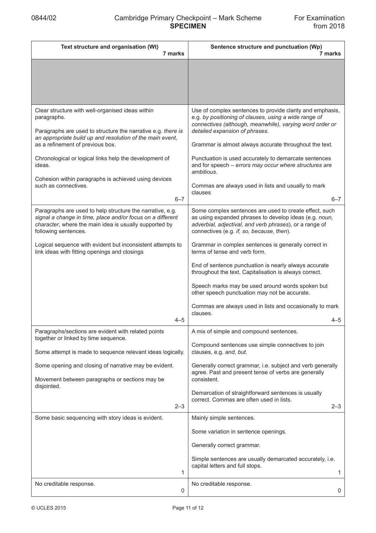| Text structure and organisation (Wt)<br>7 marks                                                                                                                                                                                                                                                                                                                                                 | Sentence structure and punctuation (Wp)<br>7 marks                                                                                                                                                                                                                                                                                                                                                                                                                                       |
|-------------------------------------------------------------------------------------------------------------------------------------------------------------------------------------------------------------------------------------------------------------------------------------------------------------------------------------------------------------------------------------------------|------------------------------------------------------------------------------------------------------------------------------------------------------------------------------------------------------------------------------------------------------------------------------------------------------------------------------------------------------------------------------------------------------------------------------------------------------------------------------------------|
|                                                                                                                                                                                                                                                                                                                                                                                                 |                                                                                                                                                                                                                                                                                                                                                                                                                                                                                          |
| Clear structure with well-organised ideas within<br>paragraphs.<br>Paragraphs are used to structure the narrative e.g. there is<br>an appropriate build up and resolution of the main event,<br>as a refinement of previous box.<br>Chronological or logical links help the development of<br>ideas.<br>Cohesion within paragraphs is achieved using devices<br>such as connectives.<br>$6 - 7$ | Use of complex sentences to provide clarity and emphasis,<br>e.g. by positioning of clauses, using a wide range of<br>connectives (although, meanwhile), varying word order or<br>detailed expansion of phrases.<br>Grammar is almost always accurate throughout the text.<br>Punctuation is used accurately to demarcate sentences<br>and for speech - errors may occur where structures are<br>ambitious.<br>Commas are always used in lists and usually to mark<br>clauses<br>$6 - 7$ |
| Paragraphs are used to help structure the narrative, e.g.<br>signal a change in time, place and/or focus on a different<br>character, where the main idea is usually supported by<br>following sentences.                                                                                                                                                                                       | Some complex sentences are used to create effect, such<br>as using expanded phrases to develop ideas (e.g. noun,<br>adverbial, adjectival, and verb phrases), or a range of<br>connectives (e.g. if, so, because, then).                                                                                                                                                                                                                                                                 |
| Logical sequence with evident but inconsistent attempts to<br>link ideas with fitting openings and closings<br>4–5                                                                                                                                                                                                                                                                              | Grammar in complex sentences is generally correct in<br>terms of tense and verb form.<br>End of sentence punctuation is nearly always accurate<br>throughout the text. Capitalisation is always correct.<br>Speech marks may be used around words spoken but<br>other speech punctuation may not be accurate.<br>Commas are always used in lists and occasionally to mark<br>clauses.<br>4–5                                                                                             |
| Paragraphs/sections are evident with related points<br>together or linked by time sequence.<br>Some attempt is made to sequence relevant ideas logically.                                                                                                                                                                                                                                       | A mix of simple and compound sentences.<br>Compound sentences use simple connectives to join<br>clauses, e.g. and, but.                                                                                                                                                                                                                                                                                                                                                                  |
| Some opening and closing of narrative may be evident.<br>Movement between paragraphs or sections may be<br>disjointed.<br>$2 - 3$                                                                                                                                                                                                                                                               | Generally correct grammar, i.e. subject and verb generally<br>agree. Past and present tense of verbs are generally<br>consistent.<br>Demarcation of straightforward sentences is usually<br>correct. Commas are often used in lists.<br>$2 - 3$                                                                                                                                                                                                                                          |
| Some basic sequencing with story ideas is evident.<br>1<br>No creditable response.                                                                                                                                                                                                                                                                                                              | Mainly simple sentences.<br>Some variation in sentence openings.<br>Generally correct grammar.<br>Simple sentences are usually demarcated accurately, i.e.<br>capital letters and full stops.<br>1<br>No creditable response.                                                                                                                                                                                                                                                            |
| 0                                                                                                                                                                                                                                                                                                                                                                                               | 0                                                                                                                                                                                                                                                                                                                                                                                                                                                                                        |